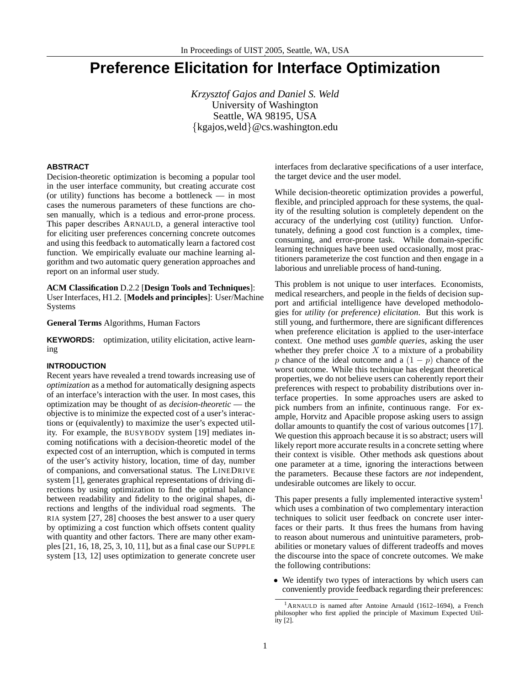# **Preference Elicitation for Interface Optimization**

*Krzysztof Gajos and Daniel S. Weld* University of Washington Seattle, WA 98195, USA {kgajos,weld}@cs.washington.edu

# **ABSTRACT**

Decision-theoretic optimization is becoming a popular tool in the user interface community, but creating accurate cost (or utility) functions has become a bottleneck — in most cases the numerous parameters of these functions are chosen manually, which is a tedious and error-prone process. This paper describes ARNAULD, a general interactive tool for eliciting user preferences concerning concrete outcomes and using this feedback to automatically learn a factored cost function. We empirically evaluate our machine learning algorithm and two automatic query generation approaches and report on an informal user study.

**ACM Classification** D.2.2 [**Design Tools and Techniques**]: User Interfaces, H1.2. [**Models and principles**]: User/Machine Systems

**General Terms** Algorithms, Human Factors

**KEYWORDS:** optimization, utility elicitation, active learning

# **INTRODUCTION**

Recent years have revealed a trend towards increasing use of *optimization* as a method for automatically designing aspects of an interface's interaction with the user. In most cases, this optimization may be thought of as *decision-theoretic* — the objective is to minimize the expected cost of a user's interactions or (equivalently) to maximize the user's expected utility. For example, the BUSYBODY system [19] mediates incoming notifications with a decision-theoretic model of the expected cost of an interruption, which is computed in terms of the user's activity history, location, time of day, number of companions, and conversational status. The LINEDRIVE system [1], generates graphical representations of driving directions by using optimization to find the optimal balance between readability and fidelity to the original shapes, directions and lengths of the individual road segments. The RIA system [27, 28] chooses the best answer to a user query by optimizing a cost function which offsets content quality with quantity and other factors. There are many other examples [21, 16, 18, 25, 3, 10, 11], but as a final case our SUPPLE system [13, 12] uses optimization to generate concrete user interfaces from declarative specifications of a user interface, the target device and the user model.

While decision-theoretic optimization provides a powerful, flexible, and principled approach for these systems, the quality of the resulting solution is completely dependent on the accuracy of the underlying cost (utility) function. Unfortunately, defining a good cost function is a complex, timeconsuming, and error-prone task. While domain-specific learning techniques have been used occasionally, most practitioners parameterize the cost function and then engage in a laborious and unreliable process of hand-tuning.

This problem is not unique to user interfaces. Economists, medical researchers, and people in the fields of decision support and artificial intelligence have developed methodologies for *utility (*or *preference) elicitation*. But this work is still young, and furthermore, there are significant differences when preference elicitation is applied to the user-interface context. One method uses *gamble queries*, asking the user whether they prefer choice  $X$  to a mixture of a probability p chance of the ideal outcome and a  $(1 - p)$  chance of the worst outcome. While this technique has elegant theoretical properties, we do not believe users can coherently report their preferences with respect to probability distributions over interface properties. In some approaches users are asked to pick numbers from an infinite, continuous range. For example, Horvitz and Apacible propose asking users to assign dollar amounts to quantify the cost of various outcomes [17]. We question this approach because it is so abstract; users will likely report more accurate results in a concrete setting where their context is visible. Other methods ask questions about one parameter at a time, ignoring the interactions between the parameters. Because these factors are *not* independent, undesirable outcomes are likely to occur.

This paper presents a fully implemented interactive system<sup>1</sup> which uses a combination of two complementary interaction techniques to solicit user feedback on concrete user interfaces or their parts. It thus frees the humans from having to reason about numerous and unintuitive parameters, probabilities or monetary values of different tradeoffs and moves the discourse into the space of concrete outcomes. We make the following contributions:

• We identify two types of interactions by which users can conveniently provide feedback regarding their preferences:

<sup>1</sup>ARNAULD is named after Antoine Arnauld (1612–1694), a French philosopher who first applied the principle of Maximum Expected Utility [2].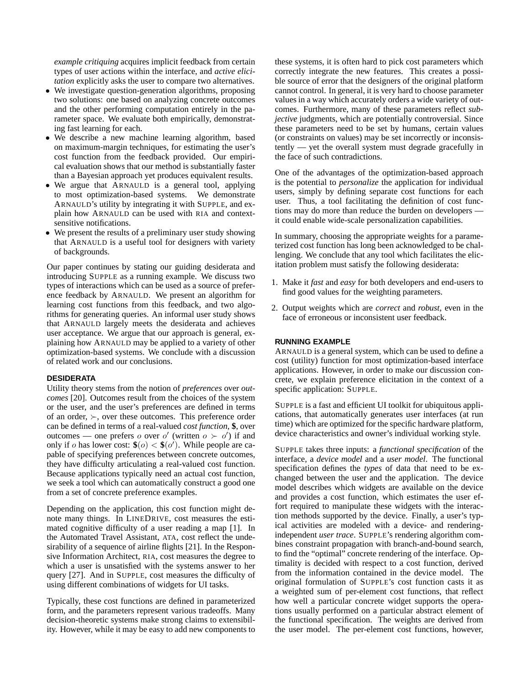*example critiquing* acquires implicit feedback from certain types of user actions within the interface, and *active elicitation* explicitly asks the user to compare two alternatives.

- We investigate question-generation algorithms, proposing two solutions: one based on analyzing concrete outcomes and the other performing computation entirely in the parameter space. We evaluate both empirically, demonstrating fast learning for each.
- We describe a new machine learning algorithm, based on maximum-margin techniques, for estimating the user's cost function from the feedback provided. Our empirical evaluation shows that our method is substantially faster than a Bayesian approach yet produces equivalent results.
- We argue that ARNAULD is a general tool, applying to most optimization-based systems. We demonstrate ARNAULD's utility by integrating it with SUPPLE, and explain how ARNAULD can be used with RIA and contextsensitive notifications.
- We present the results of a preliminary user study showing that ARNAULD is a useful tool for designers with variety of backgrounds.

Our paper continues by stating our guiding desiderata and introducing SUPPLE as a running example. We discuss two types of interactions which can be used as a source of preference feedback by ARNAULD. We present an algorithm for learning cost functions from this feedback, and two algorithms for generating queries. An informal user study shows that ARNAULD largely meets the desiderata and achieves user acceptance. We argue that our approach is general, explaining how ARNAULD may be applied to a variety of other optimization-based systems. We conclude with a discussion of related work and our conclusions.

## **DESIDERATA**

Utility theory stems from the notion of *preferences* over *outcomes* [20]. Outcomes result from the choices of the system or the user, and the user's preferences are defined in terms of an order,  $\succ$ , over these outcomes. This preference order can be defined in terms of a real-valued *cost function*, **\$**, over outcomes — one prefers o over o' (written  $o \succ o'$ ) if and only if o has lower cost:  $\$(o) < \$(o')$ . While people are capable of specifying preferences between concrete outcomes, they have difficulty articulating a real-valued cost function. Because applications typically need an actual cost function, we seek a tool which can automatically construct a good one from a set of concrete preference examples.

Depending on the application, this cost function might denote many things. In LINEDRIVE, cost measures the estimated cognitive difficulty of a user reading a map [1]. In the Automated Travel Assistant, ATA, cost reflect the undesirability of a sequence of airline flights [21]. In the Responsive Information Architect, RIA, cost measures the degree to which a user is unsatisfied with the systems answer to her query [27]. And in SUPPLE, cost measures the difficulty of using different combinations of widgets for UI tasks.

Typically, these cost functions are defined in parameterized form, and the parameters represent various tradeoffs. Many decision-theoretic systems make strong claims to extensibility. However, while it may be easy to add new components to

these systems, it is often hard to pick cost parameters which correctly integrate the new features. This creates a possible source of error that the designers of the original platform cannot control. In general, it is very hard to choose parameter values in a way which accurately orders a wide variety of outcomes. Furthermore, many of these parameters reflect *subjective* judgments, which are potentially controversial. Since these parameters need to be set by humans, certain values (or constraints on values) may be set incorrectly or inconsistently — yet the overall system must degrade gracefully in the face of such contradictions.

One of the advantages of the optimization-based approach is the potential to *personalize* the application for individual users, simply by defining separate cost functions for each user. Thus, a tool facilitating the definition of cost functions may do more than reduce the burden on developers it could enable wide-scale personalization capabilities.

In summary, choosing the appropriate weights for a parameterized cost function has long been acknowledged to be challenging. We conclude that any tool which facilitates the elicitation problem must satisfy the following desiderata:

- 1. Make it *fast* and *easy* for both developers and end-users to find good values for the weighting parameters.
- 2. Output weights which are *correct* and *robust*, even in the face of erroneous or inconsistent user feedback.

# **RUNNING EXAMPLE**

ARNAULD is a general system, which can be used to define a cost (utility) function for most optimization-based interface applications. However, in order to make our discussion concrete, we explain preference elicitation in the context of a specific application: SUPPLE.

SUPPLE is a fast and efficient UI toolkit for ubiquitous applications, that automatically generates user interfaces (at run time) which are optimized for the specific hardware platform, device characteristics and owner's individual working style.

SUPPLE takes three inputs: a *functional specification* of the interface, a *device model* and a *user model*. The functional specification defines the *types* of data that need to be exchanged between the user and the application. The device model describes which widgets are available on the device and provides a cost function, which estimates the user effort required to manipulate these widgets with the interaction methods supported by the device. Finally, a user's typical activities are modeled with a device- and renderingindependent *user trace*. SUPPLE's rendering algorithm combines constraint propagation with branch-and-bound search, to find the "optimal" concrete rendering of the interface. Optimality is decided with respect to a cost function, derived from the information contained in the device model. The original formulation of SUPPLE's cost function casts it as a weighted sum of per-element cost functions, that reflect how well a particular concrete widget supports the operations usually performed on a particular abstract element of the functional specification. The weights are derived from the user model. The per-element cost functions, however,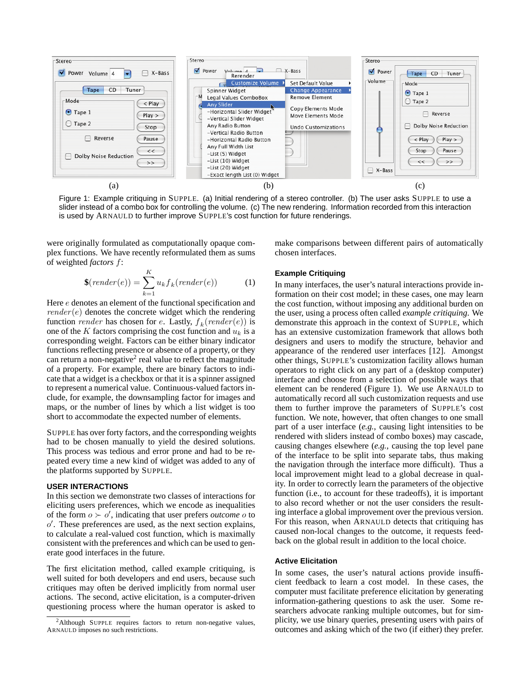

Figure 1: Example critiquing in SUPPLE. (a) Initial rendering of a stereo controller. (b) The user asks SUPPLE to use a slider instead of a combo box for controlling the volume. (c) The new rendering. Information recorded from this interaction is used by ARNAULD to further improve SUPPLE's cost function for future renderings.

were originally formulated as computationally opaque complex functions. We have recently reformulated them as sums of weighted *factors* f:

$$
\P(\text{render}(e)) = \sum_{k=1}^{K} u_k f_k(\text{render}(e)) \tag{1}
$$

Here  $e$  denotes an element of the functional specification and  $render(e)$  denotes the concrete widget which the rendering function *render* has chosen for e. Lastly,  $f_k$  (*render*(*e*)) is one of the K factors comprising the cost function and  $u_k$  is a corresponding weight. Factors can be either binary indicator functions reflecting presence or absence of a property, or they can return a non-negative<sup>2</sup> real value to reflect the magnitude of a property. For example, there are binary factors to indicate that a widget is a checkbox or that it is a spinner assigned to represent a numerical value. Continuous-valued factors include, for example, the downsampling factor for images and maps, or the number of lines by which a list widget is too short to accommodate the expected number of elements.

SUPPLE has over forty factors, and the corresponding weights had to be chosen manually to yield the desired solutions. This process was tedious and error prone and had to be repeated every time a new kind of widget was added to any of the platforms supported by SUPPLE.

## **USER INTERACTIONS**

In this section we demonstrate two classes of interactions for eliciting users preferences, which we encode as inequalities of the form  $o \succ o'$ , indicating that user prefers *outcome* o to  $o'$ . These preferences are used, as the next section explains, to calculate a real-valued cost function, which is maximally consistent with the preferences and which can be used to generate good interfaces in the future.

The first elicitation method, called example critiquing, is well suited for both developers and end users, because such critiques may often be derived implicitly from normal user actions. The second, active elicitation, is a computer-driven questioning process where the human operator is asked to make comparisons between different pairs of automatically chosen interfaces.

## **Example Critiquing**

In many interfaces, the user's natural interactions provide information on their cost model; in these cases, one may learn the cost function, without imposing any additional burden on the user, using a process often called *example critiquing*. We demonstrate this approach in the context of SUPPLE, which has an extensive customization framework that allows both designers and users to modify the structure, behavior and appearance of the rendered user interfaces [12]. Amongst other things, SUPPLE's customization facility allows human operators to right click on any part of a (desktop computer) interface and choose from a selection of possible ways that element can be rendered (Figure 1). We use ARNAULD to automatically record all such customization requests and use them to further improve the parameters of SUPPLE's cost function. We note, however, that often changes to one small part of a user interface (*e.g.*, causing light intensities to be rendered with sliders instead of combo boxes) may cascade, causing changes elsewhere (*e.g.*, causing the top level pane of the interface to be split into separate tabs, thus making the navigation through the interface more difficult). Thus a local improvement might lead to a global decrease in quality. In order to correctly learn the parameters of the objective function (i.e., to account for these tradeoffs), it is important to also record whether or not the user considers the resulting interface a global improvement over the previous version. For this reason, when ARNAULD detects that critiquing has caused non-local changes to the outcome, it requests feedback on the global result in addition to the local choice.

#### **Active Elicitation**

In some cases, the user's natural actions provide insufficient feedback to learn a cost model. In these cases, the computer must facilitate preference elicitation by generating information-gathering questions to ask the user. Some researchers advocate ranking multiple outcomes, but for simplicity, we use binary queries, presenting users with pairs of outcomes and asking which of the two (if either) they prefer.

<sup>2</sup>Although SUPPLE requires factors to return non-negative values, ARNAULD imposes no such restrictions.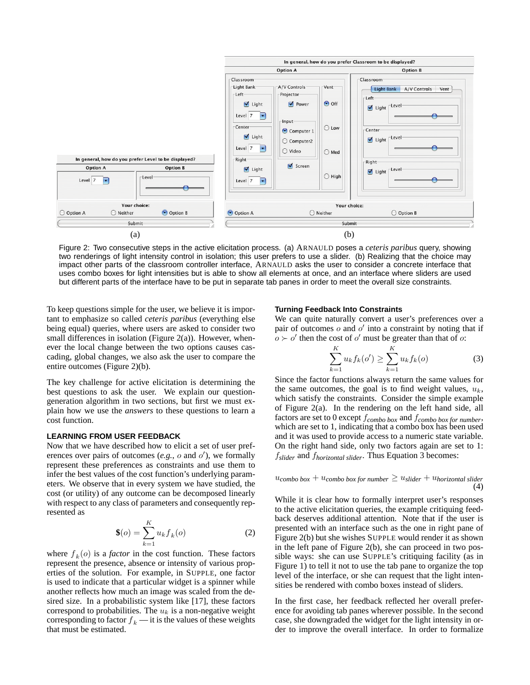

Figure 2: Two consecutive steps in the active elicitation process. (a) ARNAULD poses a *ceteris paribus* query, showing two renderings of light intensity control in isolation; this user prefers to use a slider. (b) Realizing that the choice may impact other parts of the classroom controller interface, ARNAULD asks the user to consider a concrete interface that uses combo boxes for light intensities but is able to show all elements at once, and an interface where sliders are used but different parts of the interface have to be put in separate tab panes in order to meet the overall size constraints.

To keep questions simple for the user, we believe it is important to emphasize so called *ceteris paribus* (everything else being equal) queries, where users are asked to consider two small differences in isolation (Figure 2(a)). However, whenever the local change between the two options causes cascading, global changes, we also ask the user to compare the entire outcomes (Figure 2)(b).

The key challenge for active elicitation is determining the best questions to ask the user. We explain our questiongeneration algorithm in two sections, but first we must explain how we use the *answers* to these questions to learn a cost function.

# **LEARNING FROM USER FEEDBACK**

Now that we have described how to elicit a set of user preferences over pairs of outcomes  $(e.g., o \text{ and } o')$ , we formally represent these preferences as constraints and use them to infer the best values of the cost function's underlying parameters. We observe that in every system we have studied, the cost (or utility) of any outcome can be decomposed linearly with respect to any class of parameters and consequently represented as

$$
\mathbf{\$}(o) = \sum_{k=1}^{K} u_k f_k(o) \tag{2}
$$

where  $f_k(o)$  is a *factor* in the cost function. These factors represent the presence, absence or intensity of various properties of the solution. For example, in SUPPLE, one factor is used to indicate that a particular widget is a spinner while another reflects how much an image was scaled from the desired size. In a probabilistic system like [17], these factors correspond to probabilities. The  $u_k$  is a non-negative weight corresponding to factor  $f_k$  — it is the values of these weights that must be estimated.

#### **Turning Feedback Into Constraints**

We can quite naturally convert a user's preferences over a pair of outcomes  $o$  and  $o'$  into a constraint by noting that if  $\alpha > 0'$  then the cost of  $o'$  must be greater than that of  $o$ .

$$
\sum_{k=1}^{K} u_k f_k(o') \ge \sum_{k=1}^{K} u_k f_k(o)
$$
 (3)

Since the factor functions always return the same values for the same outcomes, the goal is to find weight values,  $u_k$ , which satisfy the constraints. Consider the simple example of Figure 2(a). In the rendering on the left hand side, all factors are set to 0 except f*combo box* and f*combo box for number*, which are set to 1, indicating that a combo box has been used and it was used to provide access to a numeric state variable. On the right hand side, only two factors again are set to 1: f*slider* and f*horizontal slider*. Thus Equation 3 becomes:

# $u_{\text{comb}o\text{ box}} + u_{\text{comb}o\text{ box}$  for number  $\geq u_{\text{slide}} + u_{\text{horizontal slider}}$ (4)

While it is clear how to formally interpret user's responses to the active elicitation queries, the example critiquing feedback deserves additional attention. Note that if the user is presented with an interface such as the one in right pane of Figure 2(b) but she wishes SUPPLE would render it as shown in the left pane of Figure 2(b), she can proceed in two possible ways: she can use SUPPLE's critiquing facility (as in Figure 1) to tell it not to use the tab pane to organize the top level of the interface, or she can request that the light intensities be rendered with combo boxes instead of sliders.

In the first case, her feedback reflected her overall preference for avoiding tab panes wherever possible. In the second case, she downgraded the widget for the light intensity in order to improve the overall interface. In order to formalize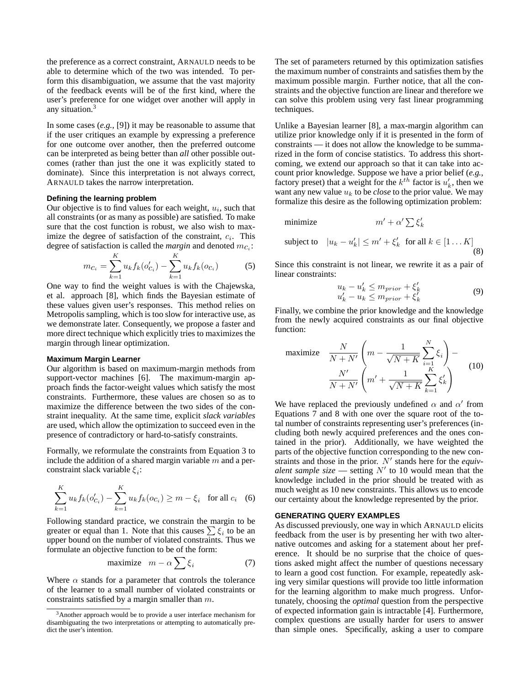the preference as a correct constraint, ARNAULD needs to be able to determine which of the two was intended. To perform this disambiguation, we assume that the vast majority of the feedback events will be of the first kind, where the user's preference for one widget over another will apply in any situation.<sup>3</sup>

In some cases (*e.g.*, [9]) it may be reasonable to assume that if the user critiques an example by expressing a preference for one outcome over another, then the preferred outcome can be interpreted as being better than *all* other possible outcomes (rather than just the one it was explicitly stated to dominate). Since this interpretation is not always correct, ARNAULD takes the narrow interpretation.

# **Defining the learning problem**

Our objective is to find values for each weight,  $u_i$ , such that all constraints (or as many as possible) are satisfied. To make sure that the cost function is robust, we also wish to maximize the degree of satisfaction of the constraint,  $c_i$ . This degree of satisfaction is called the *margin* and denoted  $m_{c_i}$ :

$$
m_{C_i} = \sum_{k=1}^{K} u_k f_k(o'_{C_i}) - \sum_{k=1}^{K} u_k f_k(o_{C_i})
$$
 (5)

One way to find the weight values is with the Chajewska, et al. approach [8], which finds the Bayesian estimate of these values given user's responses. This method relies on Metropolis sampling, which is too slow for interactive use, as we demonstrate later. Consequently, we propose a faster and more direct technique which explicitly tries to maximizes the margin through linear optimization.

#### **Maximum Margin Learner**

Our algorithm is based on maximum-margin methods from support-vector machines [6]. The maximum-margin approach finds the factor-weight values which satisfy the most constraints. Furthermore, these values are chosen so as to maximize the difference between the two sides of the constraint inequality. At the same time, explicit *slack variables* are used, which allow the optimization to succeed even in the presence of contradictory or hard-to-satisfy constraints.

Formally, we reformulate the constraints from Equation 3 to include the addition of a shared margin variable  $m$  and a perconstraint slack variable  $\xi_i$ :

$$
\sum_{k=1}^{K} u_k f_k(o'_{C_i}) - \sum_{k=1}^{K} u_k f_k(o_{C_i}) \ge m - \xi_i \quad \text{for all } c_i \quad (6)
$$

Following standard practice, we constrain the margin to be greater or equal than 1. Note that this causes  $\sum \xi_i$  to be an upper bound on the number of violated constraints. Thus we formulate an objective function to be of the form:

$$
\text{maximize} \quad m - \alpha \sum \xi_i \tag{7}
$$

Where  $\alpha$  stands for a parameter that controls the tolerance of the learner to a small number of violated constraints or constraints satisfied by a margin smaller than  $m$ .

The set of parameters returned by this optimization satisfies the maximum number of constraints and satisfies them by the maximum possible margin. Further notice, that all the constraints and the objective function are linear and therefore we can solve this problem using very fast linear programming techniques.

Unlike a Bayesian learner [8], a max-margin algorithm can utilize prior knowledge only if it is presented in the form of constraints — it does not allow the knowledge to be summarized in the form of concise statistics. To address this shortcoming, we extend our approach so that it can take into account prior knowledge. Suppose we have a prior belief (*e.g.*, factory preset) that a weight for the  $k^{th}$  factor is  $u'_{k}$ , then we want any new value  $u_k$  to be *close* to the prior value. We may formalize this desire as the following optimization problem:

minimize  $m' + \alpha' \sum \xi'_k$ 

subject to 
$$
|u_k - u'_k| \le m' + \xi'_k
$$
 for all  $k \in [1...K]$ 

$$
\begin{array}{c} \ldots \ldots \\ \ldots \end{array} \tag{8}
$$

Since this constraint is not linear, we rewrite it as a pair of linear constraints:

$$
u_k - u'_k \le m_{prior} + \xi'_k u'_k - u_k \le m_{prior} + \xi'_k
$$
 (9)

Finally, we combine the prior knowledge and the knowledge from the newly acquired constraints as our final objective function:

maximize 
$$
\frac{N}{N+N'}
$$
  $\left(m - \frac{1}{\sqrt{N+K}} \sum_{i=1}^{N} \xi_i\right)$  -  

$$
\frac{N'}{N+N'}\left(m' + \frac{1}{\sqrt{N+K}} \sum_{k=1}^{K} \xi'_k\right)
$$
 (10)

We have replaced the previously undefined  $\alpha$  and  $\alpha'$  from Equations 7 and 8 with one over the square root of the total number of constraints representing user's preferences (including both newly acquired preferences and the ones contained in the prior). Additionally, we have weighted the parts of the objective function corresponding to the new constraints and those in the prior.  $N'$  stands here for the *equivalent sample size* — setting  $N'$  to 10 would mean that the knowledge included in the prior should be treated with as much weight as 10 new constraints. This allows us to encode our certainty about the knowledge represented by the prior.

## **GENERATING QUERY EXAMPLES**

As discussed previously, one way in which ARNAULD elicits feedback from the user is by presenting her with two alternative outcomes and asking for a statement about her preference. It should be no surprise that the choice of questions asked might affect the number of questions necessary to learn a good cost function. For example, repeatedly asking very similar questions will provide too little information for the learning algorithm to make much progress. Unfortunately, choosing the *optimal* question from the perspective of expected information gain is intractable [4]. Furthermore, complex questions are usually harder for users to answer than simple ones. Specifically, asking a user to compare

<sup>&</sup>lt;sup>3</sup> Another approach would be to provide a user interface mechanism for disambiguating the two interpretations or attempting to automatically predict the user's intention.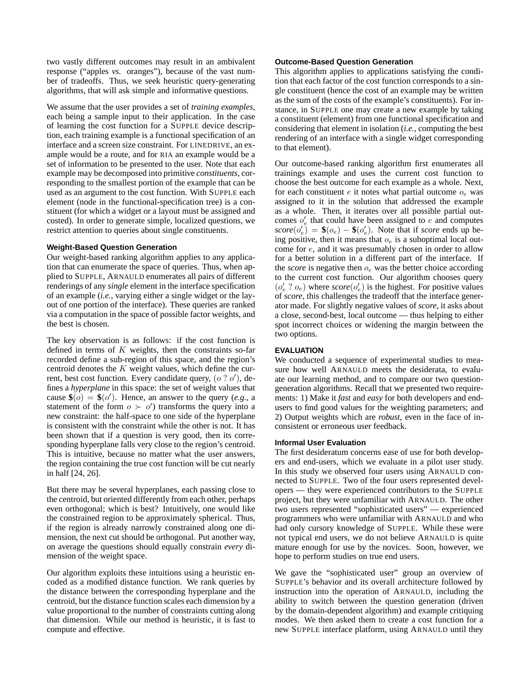two vastly different outcomes may result in an ambivalent response ("apples *vs.* oranges"), because of the vast number of tradeoffs. Thus, we seek heuristic query-generating algorithms, that will ask simple and informative questions.

We assume that the user provides a set of *training examples*, each being a sample input to their application. In the case of learning the cost function for a SUPPLE device description, each training example is a functional specification of an interface and a screen size constraint. For LINEDRIVE, an example would be a route, and for RIA an example would be a set of information to be presented to the user. Note that each example may be decomposed into primitive *constituents*, corresponding to the smallest portion of the example that can be used as an argument to the cost function. With SUPPLE each element (node in the functional-specification tree) is a constituent (for which a widget or a layout must be assigned and costed). In order to generate simple, localized questions, we restrict attention to queries about single constituents.

# **Weight-Based Question Generation**

Our weight-based ranking algorithm applies to any application that can enumerate the space of queries. Thus, when applied to SUPPLE, ARNAULD enumerates all pairs of different renderings of any *single* element in the interface specification of an example (*i.e.*, varying either a single widget or the layout of one portion of the interface). These queries are ranked via a computation in the space of possible factor weights, and the best is chosen.

The key observation is as follows: if the cost function is defined in terms of  $K$  weights, then the constraints so-far recorded define a sub-region of this space, and the region's centroid denotes the  $K$  weight values, which define the current, best cost function. Every candidate query,  $(o ? o')$ , defines a *hyperplane* in this space: the set of weight values that cause  $\hat{\mathbf{s}}(o) = \hat{\mathbf{s}}(o')$ . Hence, an answer to the query (*e.g.*, a statement of the form  $o \succ o'$  transforms the query into a new constraint: the half-space to one side of the hyperplane is consistent with the constraint while the other is not. It has been shown that if a question is very good, then its corresponding hyperplane falls very close to the region's centroid. This is intuitive, because no matter what the user answers, the region containing the true cost function will be cut nearly in half [24, 26].

But there may be several hyperplanes, each passing close to the centroid, but oriented differently from each other, perhaps even orthogonal; which is best? Intuitively, one would like the constrained region to be approximately spherical. Thus, if the region is already narrowly constrained along one dimension, the next cut should be orthogonal. Put another way, on average the questions should equally constrain *every* dimension of the weight space.

Our algorithm exploits these intuitions using a heuristic encoded as a modified distance function. We rank queries by the distance between the corresponding hyperplane and the centroid, but the distance function scales each dimension by a value proportional to the number of constraints cutting along that dimension. While our method is heuristic, it is fast to compute and effective.

# **Outcome-Based Question Generation**

This algorithm applies to applications satisfying the condition that each factor of the cost function corresponds to a single constituent (hence the cost of an example may be written as the sum of the costs of the example's constituents). For instance, in SUPPLE one may create a new example by taking a constituent (element) from one functional specification and considering that element in isolation (*i.e.*, computing the best rendering of an interface with a single widget corresponding to that element).

Our outcome-based ranking algorithm first enumerates all trainings example and uses the current cost function to choose the best outcome for each example as a whole. Next, for each constituent  $e$  it notes what partial outcome  $o_e$  was assigned to it in the solution that addressed the example as a whole. Then, it iterates over all possible partial outcomes  $o'_e$  that could have been assigned to e and computes  $score(o'_e) = \$(o_e) - \$(o'_e)$ . Note that if *score* ends up being positive, then it means that  $o_e$  is a suboptimal local outcome for e, and it was presumably chosen in order to allow for a better solution in a different part of the interface. If the *score* is negative then  $o_e$  was the better choice according to the current cost function. Our algorithm chooses query  $(o'_e$  ?  $o_e$ ) where  $score(o'_e)$  is the highest. For positive values of *score*, this challenges the tradeoff that the interface generator made. For slightly negative values of *score*, it asks about a close, second-best, local outcome — thus helping to either spot incorrect choices or widening the margin between the two options.

# **EVALUATION**

We conducted a sequence of experimental studies to measure how well ARNAULD meets the desiderata, to evaluate our learning method, and to compare our two questiongeneration algorithms. Recall that we presented two requirements: 1) Make it *fast* and *easy* for both developers and endusers to find good values for the weighting parameters; and 2) Output weights which are *robust*, even in the face of inconsistent or erroneous user feedback.

# **Informal User Evaluation**

The first desideratum concerns ease of use for both developers and end-users, which we evaluate in a pilot user study. In this study we observed four users using ARNAULD connected to SUPPLE. Two of the four users represented developers — they were experienced contributors to the SUPPLE project, but they were unfamiliar with ARNAULD. The other two users represented "sophisticated users" — experienced programmers who were unfamiliar with ARNAULD and who had only cursory knowledge of SUPPLE. While these were not typical end users, we do not believe ARNAULD is quite mature enough for use by the novices. Soon, however, we hope to perform studies on true end users.

We gave the "sophisticated user" group an overview of SUPPLE's behavior and its overall architecture followed by instruction into the operation of ARNAULD, including the ability to switch between the question generation (driven by the domain-dependent algorithm) and example critiquing modes. We then asked them to create a cost function for a new SUPPLE interface platform, using ARNAULD until they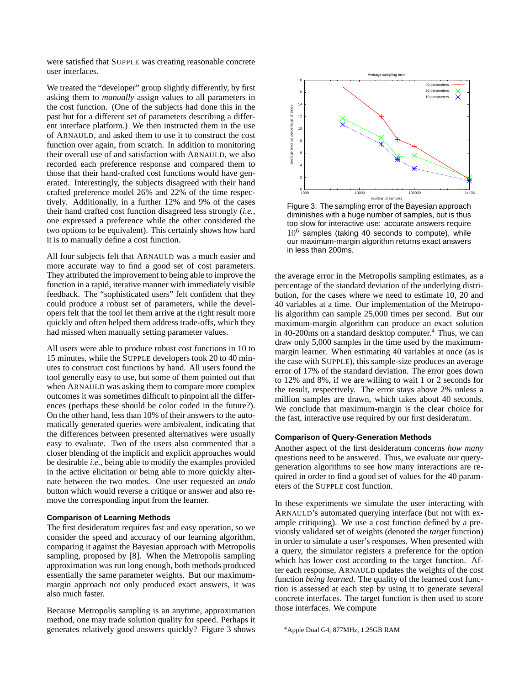were satisfied that SUPPLE was creating reasonable concrete user interfaces.

We treated the "developer" group slightly differently, by first asking them to *manually* assign values to all parameters in the cost function. (One of the subjects had done this in the past but for a different set of parameters describing a different interface platform.) We then instructed them in the use of ARNAULD, and asked them to use it to construct the cost function over again, from scratch. In addition to monitoring their overall use of and satisfaction with ARNAULD, we also recorded each preference response and compared them to those that their hand-crafted cost functions would have generated. Interestingly, the subjects disagreed with their hand crafted preference model 26% and 22% of the time respectively. Additionally, in a further 12% and 9% of the cases their hand crafted cost function disagreed less strongly (*i.e.*, one expressed a preference while the other considered the two options to be equivalent). This certainly shows how hard it is to manually define a cost function.

All four subjects felt that ARNAULD was a much easier and more accurate way to find a good set of cost parameters. They attributed the improvement to being able to improve the function in a rapid, iterative manner with immediately visible feedback. The "sophisticated users" felt confident that they could produce a robust set of parameters, while the developers felt that the tool let them arrive at the right result more quickly and often helped them address trade-offs, which they had missed when manually setting parameter values.

All users were able to produce robust cost functions in 10 to 15 minutes, while the SUPPLE developers took 20 to 40 minutes to construct cost functions by hand. All users found the tool generally easy to use, but some of them pointed out that when ARNAULD was asking them to compare more complex outcomes it was sometimes difficult to pinpoint all the differences (perhaps these should be color coded in the future?). On the other hand, less than 10% of their answers to the automatically generated queries were ambivalent, indicating that the differences between presented alternatives were usually easy to evaluate. Two of the users also commented that a closer blending of the implicit and explicit approaches would be desirable *i.e.*, being able to modify the examples provided in the active elicitation or being able to more quickly alternate between the two modes. One user requested an *undo* button which would reverse a critique or answer and also remove the corresponding input from the learner.

#### **Comparison of Learning Methods**

The first desideratum requires fast and easy operation, so we consider the speed and accuracy of our learning algorithm, comparing it against the Bayesian approach with Metropolis sampling, proposed by [8]. When the Metropolis sampling approximation was run long enough, both methods produced essentially the same parameter weights. But our maximummargin approach not only produced exact answers, it was also much faster.

Because Metropolis sampling is an anytime, approximation method, one may trade solution quality for speed. Perhaps it generates relatively good answers quickly? Figure 3 shows



Figure 3: The sampling error of the Bayesian approach diminishes with a huge number of samples, but is thus too slow for interactive use: accurate answers require  $10^6$  samples (taking 40 seconds to compute), while our maximum-margin algorithm returns exact answers in less than 200ms.

the average error in the Metropolis sampling estimates, as a percentage of the standard deviation of the underlying distribution, for the cases where we need to estimate 10, 20 and 40 variables at a time. Our implementation of the Metropolis algorithm can sample 25,000 times per second. But our maximum-margin algorithm can produce an exact solution in 40-200ms on a standard desktop computer.<sup>4</sup> Thus, we can draw only 5,000 samples in the time used by the maximummargin learner. When estimating 40 variables at once (as is the case with SUPPLE), this sample-size produces an average error of 17% of the standard deviation. The error goes down to 12% and 8%, if we are willing to wait 1 or 2 seconds for the result, respectively. The error stays above 2% unless a million samples are drawn, which takes about 40 seconds. We conclude that maximum-margin is the clear choice for the fast, interactive use required by our first desideratum.

# **Comparison of Query-Generation Methods**

Another aspect of the first desideratum concerns *how many* questions need to be answered. Thus, we evaluate our querygeneration algorithms to see how many interactions are required in order to find a good set of values for the 40 parameters of the SUPPLE cost function.

In these experiments we simulate the user interacting with ARNAULD's automated querying interface (but not with example critiquing). We use a cost function defined by a previously validated set of weights (denoted the *target* function) in order to simulate a user's responses. When presented with a query, the simulator registers a preference for the option which has lower cost according to the target function. After each response, ARNAULD updates the weights of the cost function *being learned*. The quality of the learned cost function is assessed at each step by using it to generate several concrete interfaces. The target function is then used to score those interfaces. We compute

<sup>4</sup>Apple Dual G4, 877MHz, 1.25GB RAM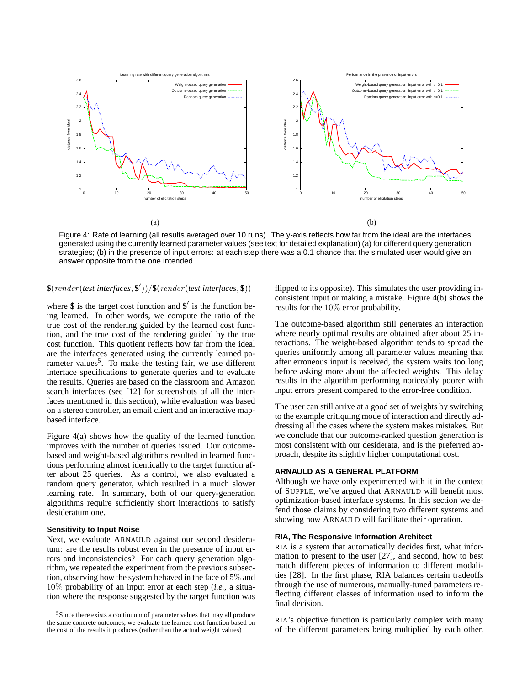

Figure 4: Rate of learning (all results averaged over 10 runs). The y-axis reflects how far from the ideal are the interfaces generated using the currently learned parameter values (see text for detailed explanation) (a) for different query generation strategies; (b) in the presence of input errors: at each step there was a 0.1 chance that the simulated user would give an answer opposite from the one intended.

# **\$**(render (*test interfaces*, **\$** 0 ))/**\$**(render (*test interfaces*, **\$**))

where  $\$$  is the target cost function and  $\$'$  is the function being learned. In other words, we compute the ratio of the true cost of the rendering guided by the learned cost function, and the true cost of the rendering guided by the true cost function. This quotient reflects how far from the ideal are the interfaces generated using the currently learned parameter values<sup>5</sup>. To make the testing fair, we use different interface specifications to generate queries and to evaluate the results. Queries are based on the classroom and Amazon search interfaces (see [12] for screenshots of all the interfaces mentioned in this section), while evaluation was based on a stereo controller, an email client and an interactive mapbased interface.

Figure 4(a) shows how the quality of the learned function improves with the number of queries issued. Our outcomebased and weight-based algorithms resulted in learned functions performing almost identically to the target function after about 25 queries. As a control, we also evaluated a random query generator, which resulted in a much slower learning rate. In summary, both of our query-generation algorithms require sufficiently short interactions to satisfy desideratum one.

# **Sensitivity to Input Noise**

Next, we evaluate ARNAULD against our second desideratum: are the results robust even in the presence of input errors and inconsistencies? For each query generation algorithm, we repeated the experiment from the previous subsection, observing how the system behaved in the face of 5% and 10% probability of an input error at each step (*i.e.*, a situation where the response suggested by the target function was

flipped to its opposite). This simulates the user providing inconsistent input or making a mistake. Figure 4(b) shows the results for the 10% error probability.

The outcome-based algorithm still generates an interaction where nearly optimal results are obtained after about 25 interactions. The weight-based algorithm tends to spread the queries uniformly among all parameter values meaning that after erroneous input is received, the system waits too long before asking more about the affected weights. This delay results in the algorithm performing noticeably poorer with input errors present compared to the error-free condition.

The user can still arrive at a good set of weights by switching to the example critiquing mode of interaction and directly addressing all the cases where the system makes mistakes. But we conclude that our outcome-ranked question generation is most consistent with our desiderata, and is the preferred approach, despite its slightly higher computational cost.

# **ARNAULD AS A GENERAL PLATFORM**

Although we have only experimented with it in the context of SUPPLE, we've argued that ARNAULD will benefit most optimization-based interface systems. In this section we defend those claims by considering two different systems and showing how ARNAULD will facilitate their operation.

#### **RIA, The Responsive Information Architect**

RIA is a system that automatically decides first, what information to present to the user [27], and second, how to best match different pieces of information to different modalities [28]. In the first phase, RIA balances certain tradeoffs through the use of numerous, manually-tuned parameters reflecting different classes of information used to inform the final decision.

RIA's objective function is particularly complex with many of the different parameters being multiplied by each other.

<sup>&</sup>lt;sup>5</sup>Since there exists a continuum of parameter values that may all produce the same concrete outcomes, we evaluate the learned cost function based on the cost of the results it produces (rather than the actual weight values)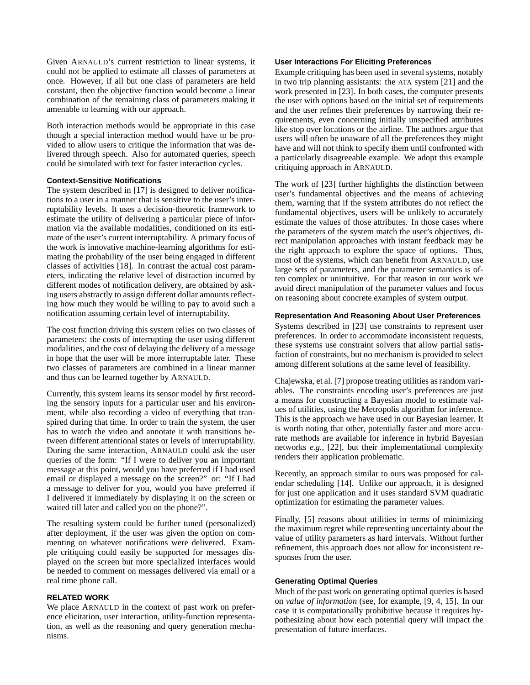Given ARNAULD's current restriction to linear systems, it could not be applied to estimate all classes of parameters at once. However, if all but one class of parameters are held constant, then the objective function would become a linear combination of the remaining class of parameters making it amenable to learning with our approach.

Both interaction methods would be appropriate in this case though a special interaction method would have to be provided to allow users to critique the information that was delivered through speech. Also for automated queries, speech could be simulated with text for faster interaction cycles.

# **Context-Sensitive Notifications**

The system described in [17] is designed to deliver notifications to a user in a manner that is sensitive to the user's interruptability levels. It uses a decision-theoretic framework to estimate the utility of delivering a particular piece of information via the available modalities, conditioned on its estimate of the user's current interruptability. A primary focus of the work is innovative machine-learning algorithms for estimating the probability of the user being engaged in different classes of activities [18]. In contrast the actual cost parameters, indicating the relative level of distraction incurred by different modes of notification delivery, are obtained by asking users abstractly to assign different dollar amounts reflecting how much they would be willing to pay to avoid such a notification assuming certain level of interruptability.

The cost function driving this system relies on two classes of parameters: the costs of interrupting the user using different modalities, and the cost of delaying the delivery of a message in hope that the user will be more interruptable later. These two classes of parameters are combined in a linear manner and thus can be learned together by ARNAULD.

Currently, this system learns its sensor model by first recording the sensory inputs for a particular user and his environment, while also recording a video of everything that transpired during that time. In order to train the system, the user has to watch the video and annotate it with transitions between different attentional states or levels of interruptability. During the same interaction, ARNAULD could ask the user queries of the form: "If I were to deliver you an important message at this point, would you have preferred if I had used email or displayed a message on the screen?" or: "If I had a message to deliver for you, would you have preferred if I delivered it immediately by displaying it on the screen or waited till later and called you on the phone?".

The resulting system could be further tuned (personalized) after deployment, if the user was given the option on commenting on whatever notifications were delivered. Example critiquing could easily be supported for messages displayed on the screen but more specialized interfaces would be needed to comment on messages delivered via email or a real time phone call.

# **RELATED WORK**

We place ARNAULD in the context of past work on preference elicitation, user interaction, utility-function representation, as well as the reasoning and query generation mechanisms.

# **User Interactions For Eliciting Preferences**

Example critiquing has been used in several systems, notably in two trip planning assistants: the ATA system [21] and the work presented in [23]. In both cases, the computer presents the user with options based on the initial set of requirements and the user refines their preferences by narrowing their requirements, even concerning initially unspecified attributes like stop over locations or the airline. The authors argue that users will often be unaware of all the preferences they might have and will not think to specify them until confronted with a particularly disagreeable example. We adopt this example critiquing approach in ARNAULD.

The work of [23] further highlights the distinction between user's fundamental objectives and the means of achieving them, warning that if the system attributes do not reflect the fundamental objectives, users will be unlikely to accurately estimate the values of those attributes. In those cases where the parameters of the system match the user's objectives, direct manipulation approaches with instant feedback may be the right approach to explore the space of options. Thus, most of the systems, which can benefit from ARNAULD, use large sets of parameters, and the parameter semantics is often complex or unintuitive. For that reason in our work we avoid direct manipulation of the parameter values and focus on reasoning about concrete examples of system output.

# **Representation And Reasoning About User Preferences**

Systems described in [23] use constraints to represent user preferences. In order to accommodate inconsistent requests, these systems use constraint solvers that allow partial satisfaction of constraints, but no mechanism is provided to select among different solutions at the same level of feasibility.

Chajewska, et al. [7] propose treating utilities as random variables. The constraints encoding user's preferences are just a means for constructing a Bayesian model to estimate values of utilities, using the Metropolis algorithm for inference. This is the approach we have used in our Bayesian learner. It is worth noting that other, potentially faster and more accurate methods are available for inference in hybrid Bayesian networks *e.g.*, [22], but their implementational complexity renders their application problematic.

Recently, an approach similar to ours was proposed for calendar scheduling [14]. Unlike our approach, it is designed for just one application and it uses standard SVM quadratic optimization for estimating the parameter values.

Finally, [5] reasons about utilities in terms of minimizing the maximum regret while representing uncertainty about the value of utility parameters as hard intervals. Without further refinement, this approach does not allow for inconsistent responses from the user.

## **Generating Optimal Queries**

Much of the past work on generating optimal queries is based on *value of information* (see, for example, [9, 4, 15]. In our case it is computationally prohibitive because it requires hypothesizing about how each potential query will impact the presentation of future interfaces.